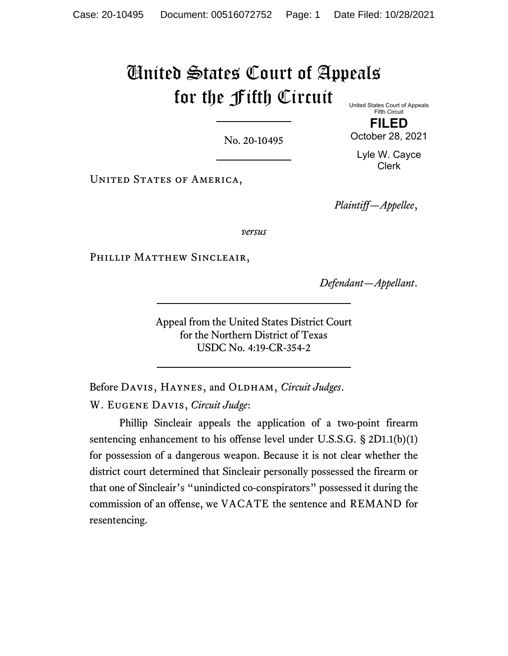# United States Court of Appeals for the Fifth Circuit United States Court of Appeals

No. 20-10495

Fifth Circuit **FILED**

October 28, 2021

Lyle W. Cayce Clerk

UNITED STATES OF AMERICA,

*Plaintiff—Appellee*,

*versus*

PHILLIP MATTHEW SINCLEAIR,

*Defendant—Appellant*.

Appeal from the United States District Court for the Northern District of Texas USDC No. 4:19-CR-354-2

Before DAVIS, HAYNES, and OLDHAM, *Circuit Judges*.

W. Eugene Davis, *Circuit Judge*:

Phillip Sincleair appeals the application of a two-point firearm sentencing enhancement to his offense level under U.S.S.G. § 2D1.1(b)(1) for possession of a dangerous weapon. Because it is not clear whether the district court determined that Sincleair personally possessed the firearm or that one of Sincleair's "unindicted co-conspirators" possessed it during the commission of an offense, we VACATE the sentence and REMAND for resentencing.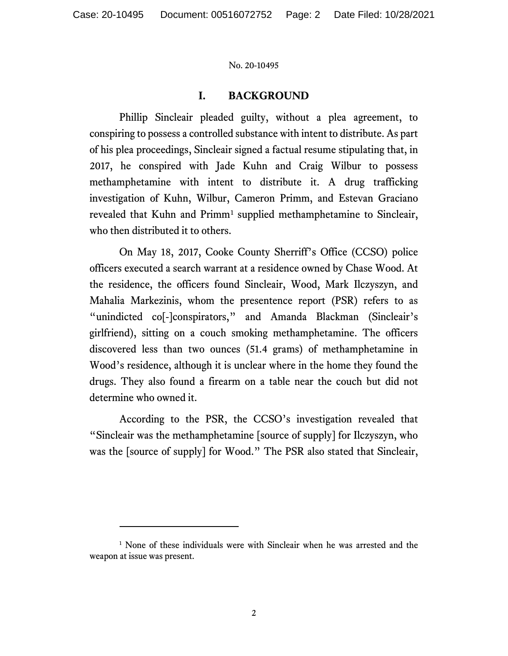# **I. BACKGROUND**

Phillip Sincleair pleaded guilty, without a plea agreement, to conspiring to possess a controlled substance with intent to distribute. As part of his plea proceedings, Sincleair signed a factual resume stipulating that, in 2017, he conspired with Jade Kuhn and Craig Wilbur to possess methamphetamine with intent to distribute it. A drug trafficking investigation of Kuhn, Wilbur, Cameron Primm, and Estevan Graciano revealed that Kuhn and Primm<sup>[1](#page-1-0)</sup> supplied methamphetamine to Sincleair, who then distributed it to others.

On May 18, 2017, Cooke County Sherriff's Office (CCSO) police officers executed a search warrant at a residence owned by Chase Wood. At the residence, the officers found Sincleair, Wood, Mark Ilczyszyn, and Mahalia Markezinis, whom the presentence report (PSR) refers to as "unindicted co[-]conspirators," and Amanda Blackman (Sincleair's girlfriend), sitting on a couch smoking methamphetamine. The officers discovered less than two ounces (51.4 grams) of methamphetamine in Wood's residence, although it is unclear where in the home they found the drugs. They also found a firearm on a table near the couch but did not determine who owned it.

According to the PSR, the CCSO's investigation revealed that "Sincleair was the methamphetamine [source of supply] for Ilczyszyn, who was the [source of supply] for Wood." The PSR also stated that Sincleair,

<span id="page-1-0"></span><sup>&</sup>lt;sup>1</sup> None of these individuals were with Sincleair when he was arrested and the weapon at issue was present.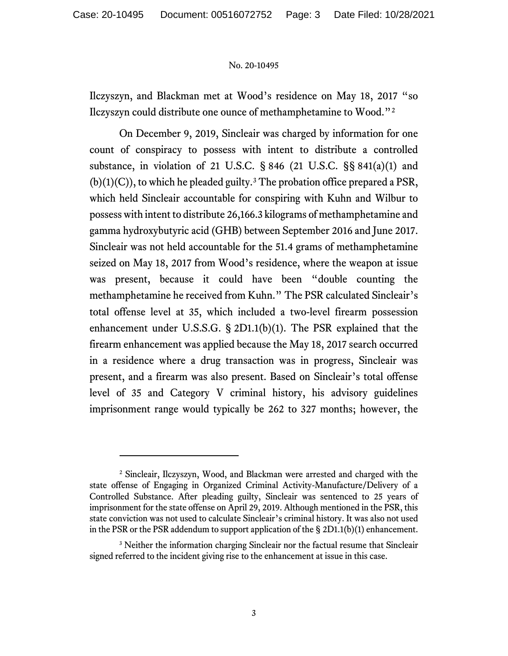Ilczyszyn, and Blackman met at Wood's residence on May 18, 2017 "so Ilczyszyn could distribute one ounce of methamphetamine to Wood."[2](#page-2-0)

On December 9, 2019, Sincleair was charged by information for one count of conspiracy to possess with intent to distribute a controlled substance, in violation of 21 U.S.C. § 846 (21 U.S.C. §§ 841(a)(1) and  $(b)(1)(C)$ , to which he pleaded guilty.<sup>[3](#page-2-1)</sup> The probation office prepared a PSR, which held Sincleair accountable for conspiring with Kuhn and Wilbur to possess with intent to distribute 26,166.3 kilograms of methamphetamine and gamma hydroxybutyric acid (GHB) between September 2016 and June 2017. Sincleair was not held accountable for the 51.4 grams of methamphetamine seized on May 18, 2017 from Wood's residence, where the weapon at issue was present, because it could have been "double counting the methamphetamine he received from Kuhn." The PSR calculated Sincleair's total offense level at 35, which included a two-level firearm possession enhancement under U.S.S.G. § 2D1.1(b)(1). The PSR explained that the firearm enhancement was applied because the May 18, 2017 search occurred in a residence where a drug transaction was in progress, Sincleair was present, and a firearm was also present. Based on Sincleair's total offense level of 35 and Category V criminal history, his advisory guidelines imprisonment range would typically be 262 to 327 months; however, the

<span id="page-2-0"></span><sup>2</sup> Sincleair, Ilczyszyn, Wood, and Blackman were arrested and charged with the state offense of Engaging in Organized Criminal Activity-Manufacture/Delivery of a Controlled Substance. After pleading guilty, Sincleair was sentenced to 25 years of imprisonment for the state offense on April 29, 2019. Although mentioned in the PSR, this state conviction was not used to calculate Sincleair's criminal history. It was also not used in the PSR or the PSR addendum to support application of the  $\S 2D1.1(b)(1)$  enhancement.

<span id="page-2-1"></span><sup>&</sup>lt;sup>3</sup> Neither the information charging Sincleair nor the factual resume that Sincleair signed referred to the incident giving rise to the enhancement at issue in this case.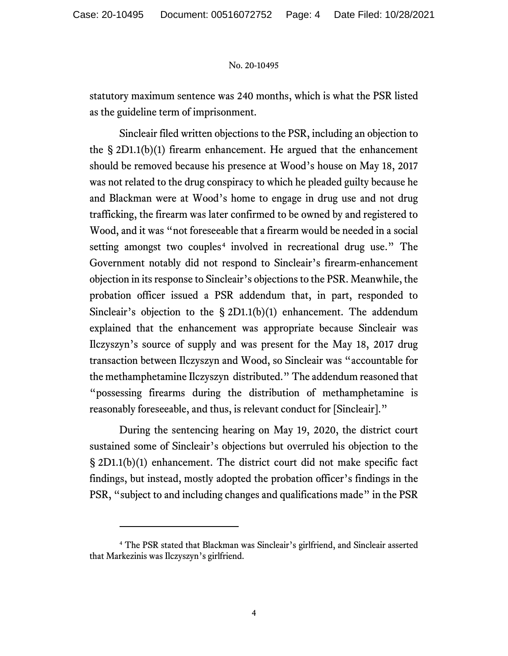statutory maximum sentence was 240 months, which is what the PSR listed as the guideline term of imprisonment.

Sincleair filed written objections to the PSR, including an objection to the § 2D1.1(b)(1) firearm enhancement. He argued that the enhancement should be removed because his presence at Wood's house on May 18, 2017 was not related to the drug conspiracy to which he pleaded guilty because he and Blackman were at Wood's home to engage in drug use and not drug trafficking, the firearm was later confirmed to be owned by and registered to Wood, and it was "not foreseeable that a firearm would be needed in a social setting amongst two couples<sup>[4](#page-3-0)</sup> involved in recreational drug use." The Government notably did not respond to Sincleair's firearm-enhancement objection in its response to Sincleair's objections to the PSR. Meanwhile, the probation officer issued a PSR addendum that, in part, responded to Sincleair's objection to the § 2D1.1(b)(1) enhancement. The addendum explained that the enhancement was appropriate because Sincleair was Ilczyszyn's source of supply and was present for the May 18, 2017 drug transaction between Ilczyszyn and Wood, so Sincleair was "accountable for the methamphetamine Ilczyszyn distributed." The addendum reasoned that "possessing firearms during the distribution of methamphetamine is reasonably foreseeable, and thus, is relevant conduct for [Sincleair]."

During the sentencing hearing on May 19, 2020, the district court sustained some of Sincleair's objections but overruled his objection to the § 2D1.1(b)(1) enhancement. The district court did not make specific fact findings, but instead, mostly adopted the probation officer's findings in the PSR, "subject to and including changes and qualifications made" in the PSR

<span id="page-3-0"></span><sup>4</sup> The PSR stated that Blackman was Sincleair's girlfriend, and Sincleair asserted that Markezinis was Ilczyszyn's girlfriend.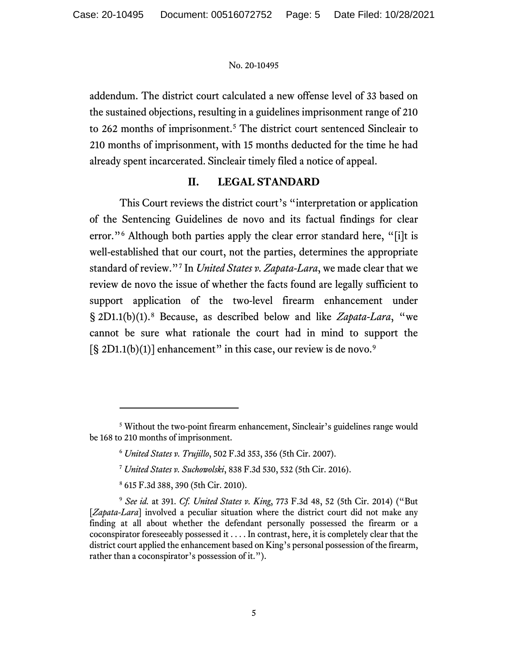addendum. The district court calculated a new offense level of 33 based on the sustained objections, resulting in a guidelines imprisonment range of 210 to 262 months of imprisonment.[5](#page-4-0) The district court sentenced Sincleair to 210 months of imprisonment, with 15 months deducted for the time he had already spent incarcerated. Sincleair timely filed a notice of appeal.

## **II. LEGAL STANDARD**

This Court reviews the district court's "interpretation or application of the Sentencing Guidelines de novo and its factual findings for clear error."<sup>[6](#page-4-1)</sup> Although both parties apply the clear error standard here, "[i]t is well-established that our court, not the parties, determines the appropriate standard of review."[7](#page-4-2) In *United States v. Zapata-Lara*, we made clear that we review de novo the issue of whether the facts found are legally sufficient to support application of the two-level firearm enhancement under § 2D1.1(b)(1). [8](#page-4-3) Because, as described below and like *Zapata-Lara*, "we cannot be sure what rationale the court had in mind to support the  $[§ 2D1.1(b)(1)]$  enhancement" in this case, our review is de novo.<sup>[9](#page-4-4)</sup>

<span id="page-4-1"></span><span id="page-4-0"></span><sup>5</sup> Without the two-point firearm enhancement, Sincleair's guidelines range would be 168 to 210 months of imprisonment.

<sup>6</sup> *United States v. Trujillo*, 502 F.3d 353, 356 (5th Cir. 2007).

<sup>7</sup> *United States v. Suchowolski*, 838 F.3d 530, 532 (5th Cir. 2016).

<sup>8</sup> 615 F.3d 388, 390 (5th Cir. 2010).

<span id="page-4-4"></span><span id="page-4-3"></span><span id="page-4-2"></span><sup>9</sup> *See id.* at 391. *Cf. United States v. King*, 773 F.3d 48, 52 (5th Cir. 2014) ("But [*Zapata-Lara*] involved a peculiar situation where the district court did not make any finding at all about whether the defendant personally possessed the firearm or a coconspirator foreseeably possessed it . . . . In contrast, here, it is completely clear that the district court applied the enhancement based on King's personal possession of the firearm, rather than a coconspirator's possession of it.").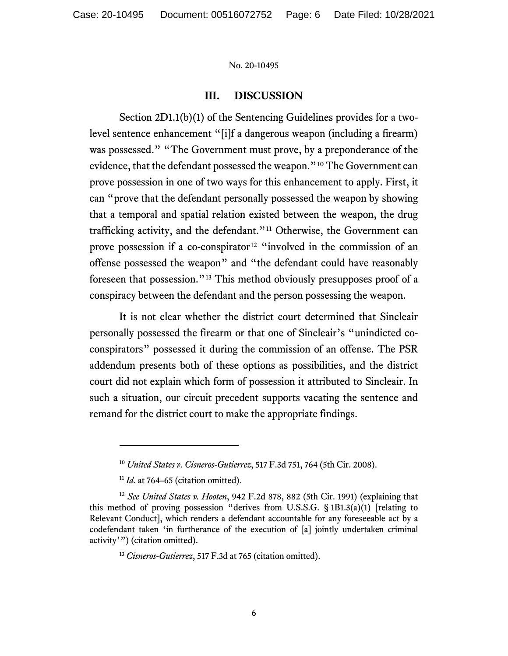## **III. DISCUSSION**

Section 2D1.1(b)(1) of the Sentencing Guidelines provides for a twolevel sentence enhancement "[i]f a dangerous weapon (including a firearm) was possessed." "The Government must prove, by a preponderance of the evidence, that the defendant possessed the weapon."[10](#page-5-0) The Government can prove possession in one of two ways for this enhancement to apply. First, it can "prove that the defendant personally possessed the weapon by showing that a temporal and spatial relation existed between the weapon, the drug trafficking activity, and the defendant."<sup>[11](#page-5-1)</sup> Otherwise, the Government can prove possession if a co-conspirator<sup>[12](#page-5-2)</sup> "involved in the commission of an offense possessed the weapon" and "the defendant could have reasonably foreseen that possession."[13](#page-5-3) This method obviously presupposes proof of a conspiracy between the defendant and the person possessing the weapon.

It is not clear whether the district court determined that Sincleair personally possessed the firearm or that one of Sincleair's "unindicted coconspirators" possessed it during the commission of an offense. The PSR addendum presents both of these options as possibilities, and the district court did not explain which form of possession it attributed to Sincleair. In such a situation, our circuit precedent supports vacating the sentence and remand for the district court to make the appropriate findings.

<sup>10</sup> *United States v. Cisneros-Gutierrez*, 517 F.3d 751, 764 (5th Cir. 2008).

<sup>&</sup>lt;sup>11</sup> *Id.* at 764–65 (citation omitted).

<span id="page-5-3"></span><span id="page-5-2"></span><span id="page-5-1"></span><span id="page-5-0"></span><sup>12</sup> *See United States v. Hooten*, 942 F.2d 878, 882 (5th Cir. 1991) (explaining that this method of proving possession "derives from U.S.S.G. § 1B1.3(a)(1) [relating to Relevant Conduct], which renders a defendant accountable for any foreseeable act by a codefendant taken 'in furtherance of the execution of [a] jointly undertaken criminal activity'") (citation omitted).

<sup>&</sup>lt;sup>13</sup> *Cisneros-Gutierrez*, 517 F.3d at 765 (citation omitted).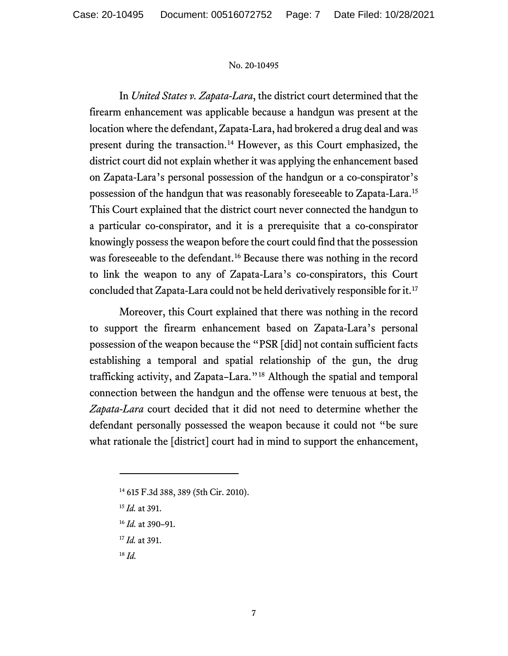In *United States v. Zapata-Lara*, the district court determined that the firearm enhancement was applicable because a handgun was present at the location where the defendant, Zapata-Lara, had brokered a drug deal and was present during the transaction.[14](#page-6-0) However, as this Court emphasized, the district court did not explain whether it was applying the enhancement based on Zapata-Lara's personal possession of the handgun or a co-conspirator's possession of the handgun that was reasonably foreseeable to Zapata-Lara. [15](#page-6-1) This Court explained that the district court never connected the handgun to a particular co-conspirator, and it is a prerequisite that a co-conspirator knowingly possess the weapon before the court could find that the possession was foreseeable to the defendant. [16](#page-6-2) Because there was nothing in the record to link the weapon to any of Zapata-Lara's co-conspirators, this Court concluded that Zapata-Lara could not be held derivatively responsible for it.[17](#page-6-3)

Moreover, this Court explained that there was nothing in the record to support the firearm enhancement based on Zapata-Lara's personal possession of the weapon because the "PSR [did] not contain sufficient facts establishing a temporal and spatial relationship of the gun, the drug trafficking activity, and Zapata–Lara."[18](#page-6-4) Although the spatial and temporal connection between the handgun and the offense were tenuous at best, the *Zapata-Lara* court decided that it did not need to determine whether the defendant personally possessed the weapon because it could not "be sure what rationale the [district] court had in mind to support the enhancement,

<span id="page-6-4"></span><sup>18</sup> *Id.*

<span id="page-6-0"></span><sup>14</sup> 615 F.3d 388, 389 (5th Cir. 2010).

<span id="page-6-1"></span><sup>15</sup> *Id.* at 391.

<span id="page-6-2"></span><sup>16</sup> *Id.* at 390–91.

<span id="page-6-3"></span><sup>17</sup> *Id.* at 391.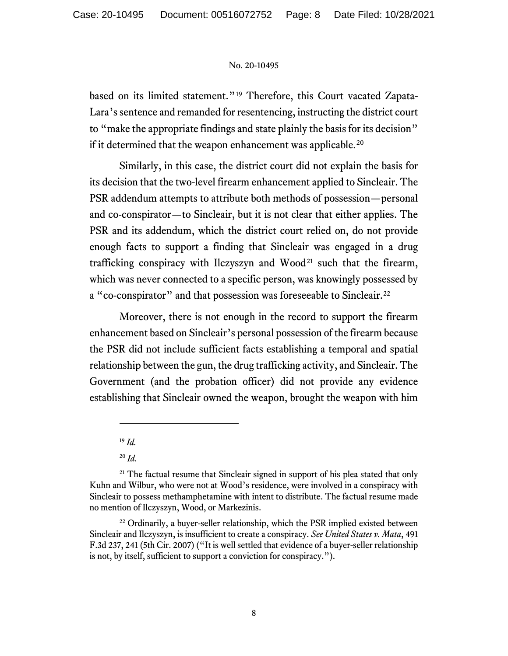based on its limited statement."[19](#page-7-0) Therefore, this Court vacated Zapata-Lara's sentence and remanded for resentencing, instructing the district court to "make the appropriate findings and state plainly the basis for its decision" if it determined that the weapon enhancement was applicable.<sup>[20](#page-7-1)</sup>

Similarly, in this case, the district court did not explain the basis for its decision that the two-level firearm enhancement applied to Sincleair. The PSR addendum attempts to attribute both methods of possession—personal and co-conspirator—to Sincleair, but it is not clear that either applies. The PSR and its addendum, which the district court relied on, do not provide enough facts to support a finding that Sincleair was engaged in a drug trafficking conspiracy with Ilczyszyn and  $Wood<sup>21</sup> such that the firearm,$  $Wood<sup>21</sup> such that the firearm,$  $Wood<sup>21</sup> such that the firearm,$ which was never connected to a specific person, was knowingly possessed by a "co-conspirator" and that possession was foreseeable to Sincleair.<sup>[22](#page-7-3)</sup>

Moreover, there is not enough in the record to support the firearm enhancement based on Sincleair's personal possession of the firearm because the PSR did not include sufficient facts establishing a temporal and spatial relationship between the gun, the drug trafficking activity, and Sincleair. The Government (and the probation officer) did not provide any evidence establishing that Sincleair owned the weapon, brought the weapon with him

<sup>19</sup> *Id.*

<sup>20</sup> *Id.*

<span id="page-7-2"></span><span id="page-7-1"></span><span id="page-7-0"></span><sup>&</sup>lt;sup>21</sup> The factual resume that Sincleair signed in support of his plea stated that only Kuhn and Wilbur, who were not at Wood's residence, were involved in a conspiracy with Sincleair to possess methamphetamine with intent to distribute. The factual resume made no mention of Ilczyszyn, Wood, or Markezinis.

<span id="page-7-3"></span> $22$  Ordinarily, a buyer-seller relationship, which the PSR implied existed between Sincleair and Ilczyszyn, is insufficient to create a conspiracy. *See United States v. Mata*, 491 F.3d 237, 241 (5th Cir. 2007) ("It is well settled that evidence of a buyer-seller relationship is not, by itself, sufficient to support a conviction for conspiracy.").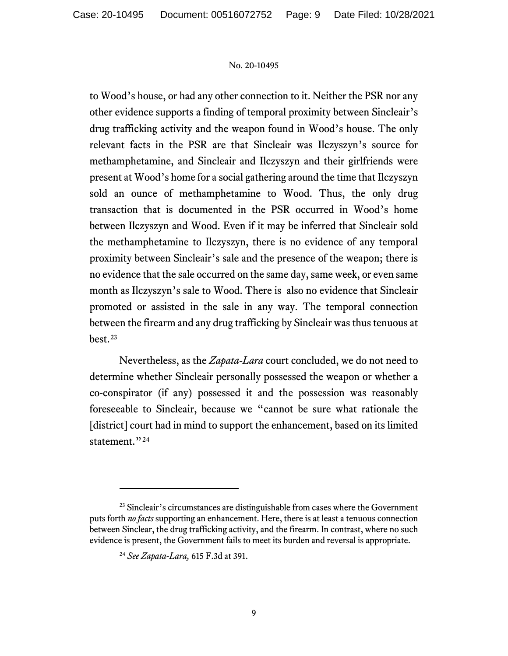to Wood's house, or had any other connection to it. Neither the PSR nor any other evidence supports a finding of temporal proximity between Sincleair's drug trafficking activity and the weapon found in Wood's house. The only relevant facts in the PSR are that Sincleair was Ilczyszyn's source for methamphetamine, and Sincleair and Ilczyszyn and their girlfriends were present at Wood's home for a social gathering around the time that Ilczyszyn sold an ounce of methamphetamine to Wood. Thus, the only drug transaction that is documented in the PSR occurred in Wood's home between Ilczyszyn and Wood. Even if it may be inferred that Sincleair sold the methamphetamine to Ilczyszyn, there is no evidence of any temporal proximity between Sincleair's sale and the presence of the weapon; there is no evidence that the sale occurred on the same day, same week, or even same month as Ilczyszyn's sale to Wood. There is also no evidence that Sincleair promoted or assisted in the sale in any way. The temporal connection between the firearm and any drug trafficking by Sincleair was thus tenuous at best. [23](#page-8-0)

Nevertheless, as the *Zapata-Lara* court concluded, we do not need to determine whether Sincleair personally possessed the weapon or whether a co-conspirator (if any) possessed it and the possession was reasonably foreseeable to Sincleair, because we "cannot be sure what rationale the [district] court had in mind to support the enhancement, based on its limited statement."<sup>[24](#page-8-1)</sup>

<span id="page-8-1"></span><span id="page-8-0"></span><sup>&</sup>lt;sup>23</sup> Sincleair's circumstances are distinguishable from cases where the Government puts forth *no facts* supporting an enhancement. Here, there is at least a tenuous connection between Sinclear, the drug trafficking activity, and the firearm. In contrast, where no such evidence is present, the Government fails to meet its burden and reversal is appropriate.

<sup>24</sup> *See Zapata-Lara,* 615 F.3d at 391.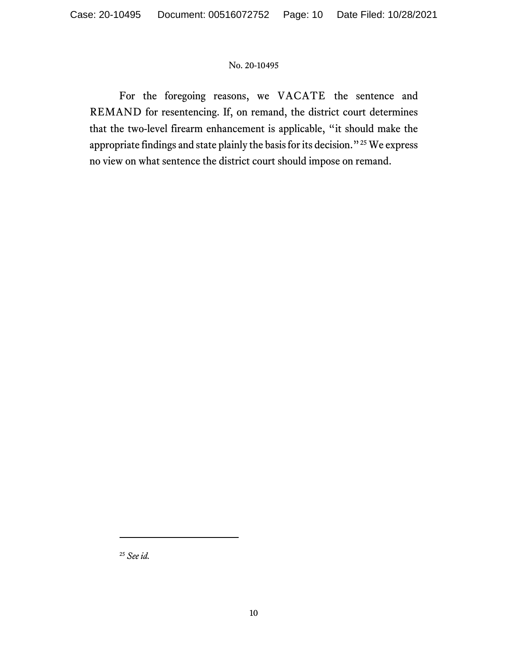For the foregoing reasons, we VACATE the sentence and REMAND for resentencing. If, on remand, the district court determines that the two-level firearm enhancement is applicable, "it should make the appropriate findings and state plainly the basis for its decision."<sup>[25](#page-9-0)</sup> We express no view on what sentence the district court should impose on remand.

<span id="page-9-0"></span><sup>25</sup> *See id.*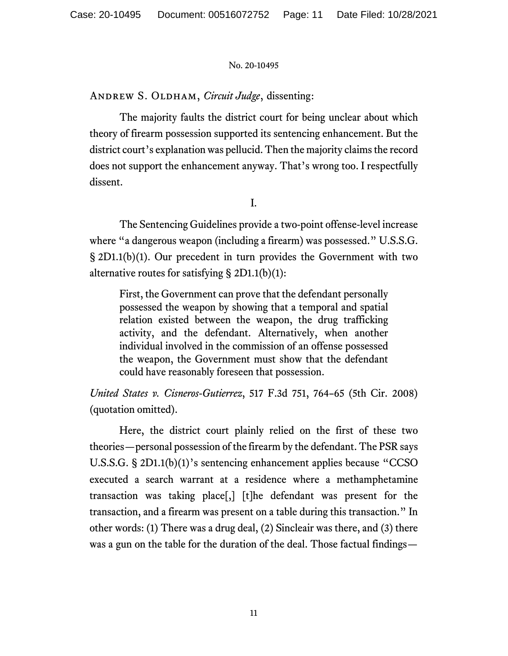ANDREW S. OLDHAM, *Circuit Judge*, dissenting:

The majority faults the district court for being unclear about which theory of firearm possession supported its sentencing enhancement. But the district court's explanation was pellucid. Then the majority claims the record does not support the enhancement anyway. That's wrong too. I respectfully dissent.

I.

The Sentencing Guidelines provide a two-point offense-level increase where "a dangerous weapon (including a firearm) was possessed." U.S.S.G. § 2D1.1(b)(1). Our precedent in turn provides the Government with two alternative routes for satisfying  $\S 2D1.1(b)(1)$ :

First, the Government can prove that the defendant personally possessed the weapon by showing that a temporal and spatial relation existed between the weapon, the drug trafficking activity, and the defendant. Alternatively, when another individual involved in the commission of an offense possessed the weapon, the Government must show that the defendant could have reasonably foreseen that possession.

*United States v. Cisneros-Gutierrez*, 517 F.3d 751, 764–65 (5th Cir. 2008) (quotation omitted).

Here, the district court plainly relied on the first of these two theories—personal possession of the firearm by the defendant. The PSR says U.S.S.G. § 2D1.1(b)(1)'s sentencing enhancement applies because "CCSO executed a search warrant at a residence where a methamphetamine transaction was taking place[,] [t]he defendant was present for the transaction, and a firearm was present on a table during this transaction." In other words: (1) There was a drug deal, (2) Sincleair was there, and (3) there was a gun on the table for the duration of the deal. Those factual findings—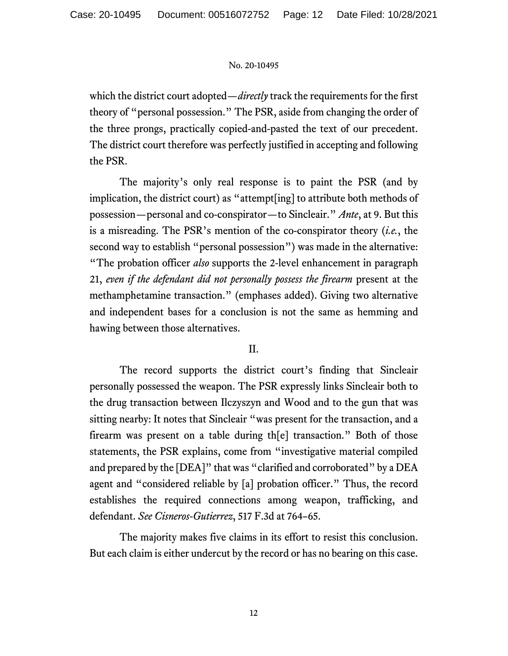which the district court adopted—*directly* track the requirements for the first theory of "personal possession." The PSR, aside from changing the order of the three prongs, practically copied-and-pasted the text of our precedent. The district court therefore was perfectly justified in accepting and following the PSR.

The majority's only real response is to paint the PSR (and by implication, the district court) as "attempt[ing] to attribute both methods of possession—personal and co-conspirator—to Sincleair." *Ante*, at 9. But this is a misreading. The PSR's mention of the co-conspirator theory (*i.e.*, the second way to establish "personal possession") was made in the alternative: "The probation officer *also* supports the 2-level enhancement in paragraph 21, *even if the defendant did not personally possess the firearm* present at the methamphetamine transaction." (emphases added). Giving two alternative and independent bases for a conclusion is not the same as hemming and hawing between those alternatives.

# II.

The record supports the district court's finding that Sincleair personally possessed the weapon. The PSR expressly links Sincleair both to the drug transaction between Ilczyszyn and Wood and to the gun that was sitting nearby: It notes that Sincleair "was present for the transaction, and a firearm was present on a table during th[e] transaction." Both of those statements, the PSR explains, come from "investigative material compiled and prepared by the [DEA]" that was "clarified and corroborated" by a DEA agent and "considered reliable by [a] probation officer." Thus, the record establishes the required connections among weapon, trafficking, and defendant. *See Cisneros-Gutierrez*, 517 F.3d at 764–65.

The majority makes five claims in its effort to resist this conclusion. But each claim is either undercut by the record or has no bearing on this case.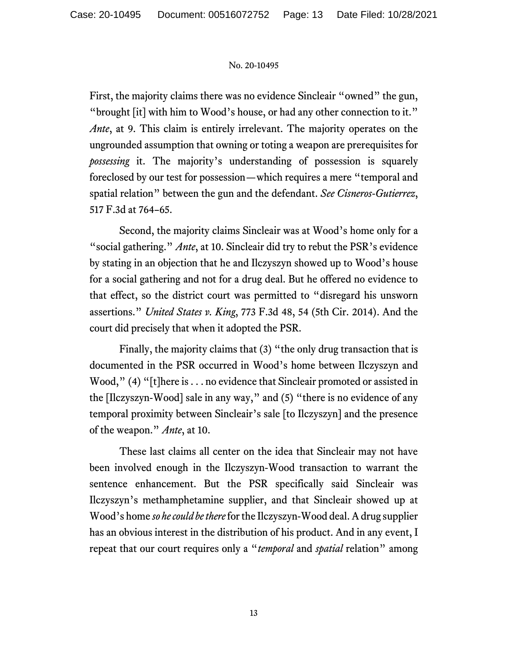First, the majority claims there was no evidence Sincleair "owned" the gun, "brought [it] with him to Wood's house, or had any other connection to it." *Ante*, at 9. This claim is entirely irrelevant. The majority operates on the ungrounded assumption that owning or toting a weapon are prerequisites for *possessing* it. The majority's understanding of possession is squarely foreclosed by our test for possession—which requires a mere "temporal and spatial relation" between the gun and the defendant. *See Cisneros-Gutierrez*, 517 F.3d at 764–65.

Second, the majority claims Sincleair was at Wood's home only for a "social gathering." *Ante*, at 10. Sincleair did try to rebut the PSR's evidence by stating in an objection that he and Ilczyszyn showed up to Wood's house for a social gathering and not for a drug deal. But he offered no evidence to that effect, so the district court was permitted to "disregard his unsworn assertions." *United States v. King*, 773 F.3d 48, 54 (5th Cir. 2014). And the court did precisely that when it adopted the PSR.

Finally, the majority claims that (3) "the only drug transaction that is documented in the PSR occurred in Wood's home between Ilczyszyn and Wood," (4) "[t]here is . . . no evidence that Sincleair promoted or assisted in the [Ilczyszyn-Wood] sale in any way," and (5) "there is no evidence of any temporal proximity between Sincleair's sale [to Ilczyszyn] and the presence of the weapon." *Ante*, at 10.

These last claims all center on the idea that Sincleair may not have been involved enough in the Ilczyszyn-Wood transaction to warrant the sentence enhancement. But the PSR specifically said Sincleair was Ilczyszyn's methamphetamine supplier, and that Sincleair showed up at Wood's home *so he could be there*for the Ilczyszyn-Wood deal. A drug supplier has an obvious interest in the distribution of his product. And in any event, I repeat that our court requires only a "*temporal* and *spatial* relation" among